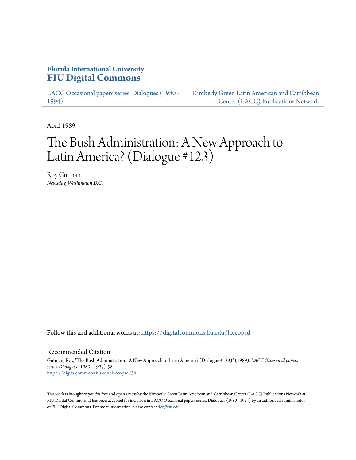## **Florida International University [FIU Digital Commons](https://digitalcommons.fiu.edu?utm_source=digitalcommons.fiu.edu%2Flaccopsd%2F38&utm_medium=PDF&utm_campaign=PDFCoverPages)**

[LACC Occasional papers series. Dialogues \(1980 -](https://digitalcommons.fiu.edu/laccopsd?utm_source=digitalcommons.fiu.edu%2Flaccopsd%2F38&utm_medium=PDF&utm_campaign=PDFCoverPages) [1994\)](https://digitalcommons.fiu.edu/laccopsd?utm_source=digitalcommons.fiu.edu%2Flaccopsd%2F38&utm_medium=PDF&utm_campaign=PDFCoverPages)

[Kimberly Green Latin American and Carribbean](https://digitalcommons.fiu.edu/laccp?utm_source=digitalcommons.fiu.edu%2Flaccopsd%2F38&utm_medium=PDF&utm_campaign=PDFCoverPages) [Center \(LACC\) Publications Network](https://digitalcommons.fiu.edu/laccp?utm_source=digitalcommons.fiu.edu%2Flaccopsd%2F38&utm_medium=PDF&utm_campaign=PDFCoverPages)

April 1989

# The Bush Administration: A New Approach to Latin America? (Dialogue #123)

Roy Gutman *Newsday, Washington D.C.*

Follow this and additional works at: [https://digitalcommons.fiu.edu/laccopsd](https://digitalcommons.fiu.edu/laccopsd?utm_source=digitalcommons.fiu.edu%2Flaccopsd%2F38&utm_medium=PDF&utm_campaign=PDFCoverPages)

#### Recommended Citation

Gutman, Roy, "The Bush Administration: A New Approach to Latin America? (Dialogue #123)" (1989). *LACC Occasional papers series. Dialogues (1980 - 1994)*. 38. [https://digitalcommons.fiu.edu/laccopsd/38](https://digitalcommons.fiu.edu/laccopsd/38?utm_source=digitalcommons.fiu.edu%2Flaccopsd%2F38&utm_medium=PDF&utm_campaign=PDFCoverPages)

This work is brought to you for free and open access by the Kimberly Green Latin American and Carribbean Center (LACC) Publications Network at FIU Digital Commons. It has been accepted for inclusion in LACC Occasional papers series. Dialogues (1980 - 1994) by an authorized administrator of FIU Digital Commons. For more information, please contact [dcc@fiu.edu](mailto:dcc@fiu.edu).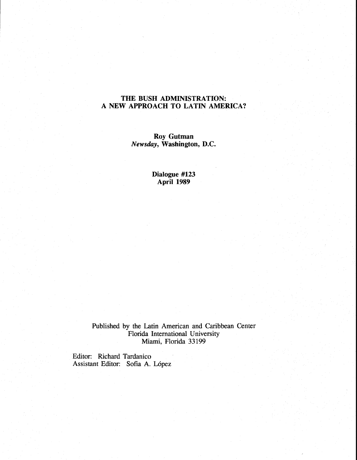## **THE BUSH ADMINISTRATION: A NEW APPROACH TO LATIN AMERICA?**

**Roy Gutman**  *Newsday,* **Washington, D.C.** 

> **Dialogue #I23 April 1989**

Published by the Latin American and Caribbean Center Florida International University Miami, Florida **33** 199

Editor: Richard Tardanico Assistant Editor: Sofia **A. L6pez**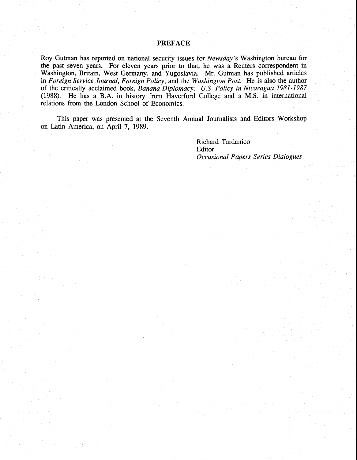### **PREFACE**

Roy Gutman has reported on national security issues for Newsday's Washington bureau for the past seven years. For eleven years prior to that, he was a Reuters correspondent in Washington, Britain, West Germany, and Yugoslavia. Mr. Gutman has published articles in Foreign Service Journal, Foreign Policy, and the Washington Post. He is also the author of the critically acclaimed book, Banana Diplomacy: U.S. Policy in Nicaragua 1981-1987 (1988). He has a B.A. in history from Haverford College and a M.S. in international relations from the London School of Economics.

This paper was presented at the Seventh Annual Journalists and Editors Workshop on Latin America, on April **7,** 1989.

> Richard Tardanico **Editor** Occasional Papers Series Dialogues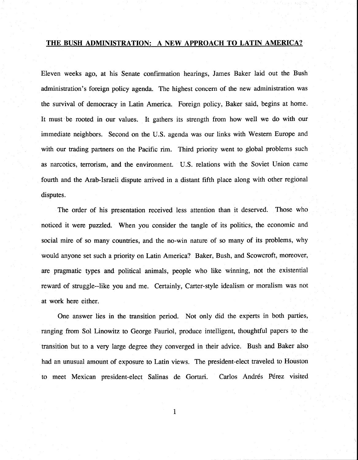## **THE BUSH ADMINISTRATION: A NEW APPROACH TO LATIN AMERICA?**

Eleven weeks ago, at his Senate confirmation hearings, James Baker laid out the Bush administration's foreign policy agenda. The highest concern of the new administration was the survival of democracy in Latin America. Foreign policy, Baker said, begins at home. It must be rooted in our values. It gathers its strength from how well we do with our immediate neighbors. Second on the U.S. agenda was our links with Western Europe and with our trading partners on the Pacific rim. Third priority went to global problems such as narcotics, terrorism, and the environment. U.S. relations with the Soviet Union came fourth and the Arab-Israeli dispute arrived in a distant fifth place along with other regional disputes.

The order of his presentation received less attention than it deserved. Those who noticed it were puzzled. When you consider the tangle of its politics, the economic and social mire of so many countries, and the no-win nature of so many of its problems, why would anyone set such a priority on Latin America? Baker, Bush, and Scowcroft, moreover, are pragmatic types and political animals, people who like winning, not the existential reward of struggle--like you and me. Certainly, Carter-style idealism or moralism was not at work here either.

One answer lies in the transition period. Not only did the experts in both parties, ranging from Sol Linowitz to George Fauriol, produce intelligent, thoughtful papers to the transition but to a very large degree they converged in their advice. Bush and Baker also had an unusual amount of exposure to Latin views. The president-elect traveled to Houston to meet Mexican president-elect Salinas de Gortari. Carlos Andrés Pérez visited

 $\mathbf{1}$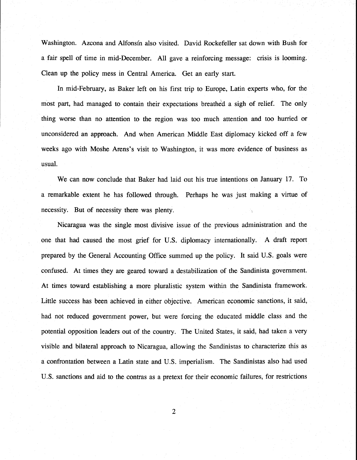Washington. Azcona and Alfonsin also visited. David Rockefeller sat down with Bush for a fair spell of time in mid-December. All gave a reinforcing message: crisis is looming. Clean up the policy mess in Central America. Get an early start.

In mid-February, as Baker left on his first trip to Europe, Latin experts who, for the most part, had managed to contain their expectations breathed a sigh of relief. The only thing worse than no attention to the region was too much attention and too hurried or unconsidered an approach. And when American Middle East diplomacy kicked off a few weeks ago with Moshe Arens's visit to Washington, it was more evidence of business as usual.

We can now conclude that Baker had laid out his true intentions on January 17. To a remarkable extent he has followed through. Perhaps he was just making a virtue of necessity. But of necessity there was plenty.

Nicaragua was the single most divisive issue of the previous administration and the one that had caused the most grief for U.S. diplomacy internationally. **A** draft report prepared by the General Accounting Office summed up the policy. It said U.S. goals were confused. At times they are geared toward a destabilization of the Sandinista government. At times toward establishing a more pluralistic system within the Sandinista framework. Little success has been achieved in either objective. American economic sanctions, it said, had not reduced government power, but were forcing the educated middle class and the potential opposition leaders out of the country. The United States, it said, had taken a very visible and bilateral approach to Nicaragua, allowing the Sandinistas to characterize this as a confrontation between a Latin state and U.S. imperialism. The Sandinistas also had used U.S. sanctions and aid to the contras as a pretext for their economic failures, for restrictions

 $\overline{2}$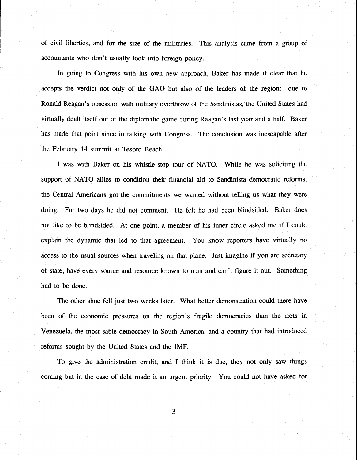of civil liberties, and for the size of the militaries. This analysis came from a group of accountants who don't usually look into foreign policy.

In going to Congress with his own new approach, Baker has made it clear that he accepts the verdict not only of the GAO but also of the leaders of the region: due to Ronald Reagan's obsession with military overthrow of the Sandinistas, the United States had virtually dealt itself out of the diplomatic game during Reagan's last year and a half. Baker has made that point since in talking with Congress. The conclusion was inescapable after the February 14 summit at Tesoro Beach.

I was with Baker on his whistle-stop tour of NATO. While he was soliciting the support of NATO allies to condition their financial aid to Sandinista democratic reforms, the Central Americans got the commitments we wanted without telling us what they were doing. For two days he did not comment. He felt he had been blindsided. Baker does not like to be blindsided. **At** one point, a member of his inner circle asked me if I could explain the dynamic that led to that agreement. You know reporters have virtually no access to the usual sources when traveling on that plane. Just imagine if you are secretary of state, have every source and resource known to man and can't figure it out. Something had to be done.

The other shoe fell just two weeks later. What better demonstration could there have been of the economic pressures on the region's fragile democracies than the riots in Venezuela, the most sable democracy in South America, and a country that had introduced reforms sought by the United States and the IMF.

To give the administration credit, and I think it is due, they not only saw things coming but in the case of debt made it an urgent priority. You could not have asked for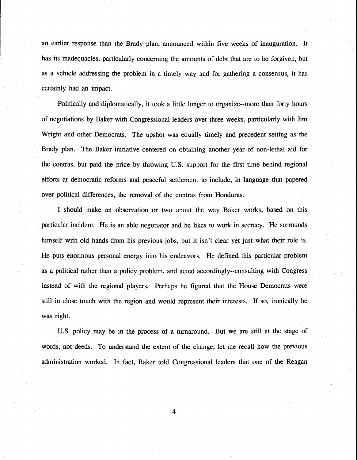an earlier response than the Brady plan, announced within five weeks of inauguration. It has its inadequacies, particularly concerning the amounts of debt that are to be forgiven, but as a vehicle addressing the problem in a timely way and for gathering a consensus, it has certainly had an impact.

Politically and diplomatically, it took a little longer to organize--more than forty hours of negotiations by Baker with Congressional leaders over three weeks, particularly with Jim Wright and other Democrats. The upshot was equally timely and precedent setting as the Brady plan. The Baker initiative centered on obtaining another year of non-lethal aid for the contras, but paid the price by throwing U.S. support for the first time behind regional efforts at democratic reforms and peaceful settlement to include, in language that papered over political differences, the removal of the contras from Honduras.

I should make an observation or two about the way Baker works, based on this particular incident. He is an able negotiator and he likes to work in secrecy. He surrounds himself with old hands from his previous jobs, but it isn't clear yet just what their role is. He puts enormous personal energy into his endeavors. He defined this particular problem as a political rather than a policy problem, and acted accordingly--consulting with Congress instead of with the regional players. Perhaps he figured that the House Democrats were still in close touch with the region and would represent their interests. If so, ironically he was right.

U.S. policy may be in the process of a turnaround. But we are still at the stage of words, not deeds. To understand the extent of the change, let me recall how the previous administration worked. In fact, Baker told Congressional leaders that one of the Reagan

 $\overline{\mathbf{4}}$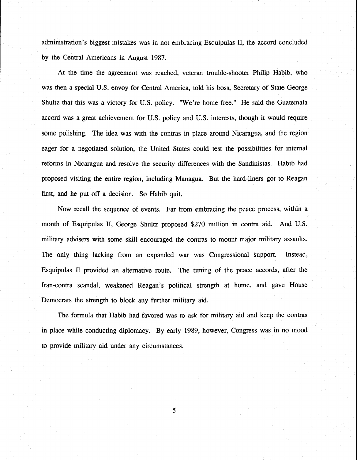administration's biggest mistakes was in not embracing Esquipulas **11,** the accord concluded by the Central Americans in August 1987.

At the time the agreement was reached, veteran trouble-shooter Philip Habib, who was then a special U.S. envoy for Central America, told his boss, Secretary of State George Shultz that this was a victory for U.S. policy. "We're home free." He said the Guatemala accord was a great achievement for U.S. policy and U.S. interests, though it would require some polishing. The idea was with the contras in place around Nicaragua, and the region eager for a negotiated solution, the United States could test the possibilities for internal reforms in Nicaragua and resolve the security differences with the Sandinistas. Habib had proposed visiting the entire region, including Managua. But the hard-liners got to Reagan first, and he put off a decision. So Habib quit.

Now recall the sequence of events. Far from embracing the peace process, within a month of Esquipulas 11, George Shultz proposed \$270 million in contra aid. And U.S. military advisers with some skill encouraged the contras to mount major military assaults. The only thing lacking from an expanded war was Congressional support. Instead, Esquipulas I1 provided an alternative route. The timing of the peace accords, after the Iran-contra scandal, weakened Reagan's political strength at home, and gave House Democrats the strength to block any further military aid.

The formula that Habib had favored was to ask for military aid and keep the contras in place while conducting diplomacy. By early 1989, however, Congress was in no mood to provide military aid under any circumstances.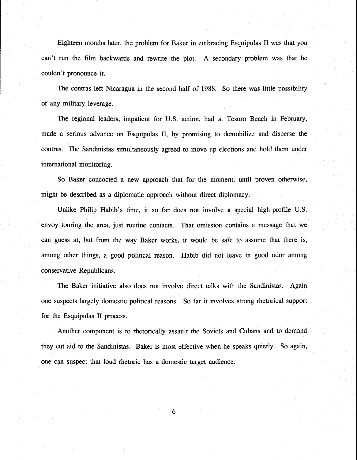Eighteen months later, the problem for Baker in embracing Esquipulas I1 was that you can't run the film backwards and rewrite the plot. **A** secondary problem was that he couldn't pronounce it.

The contras left Nicaragua in the second half of 1988. So there was little possibility of any military leverage.

I

The regional leaders, impatient for U.S. action, had at Tesoro Beach in February, made a serious advance on Esquipulas 11, by promising to demobilize and disperse the contras. The Sandinistas simultaneously agreed to move up elections and hold them under international monitoring.

So Baker concocted a new approach that for the moment, until proven otherwise, might be described as a diplomatic approach without direct diplomacy.

Unlike Philip Habib's time, it so far does not involve a special high-profile U.S. envoy touring the area, just routine contacts. That omission contains a message that we can guess at, but from the way Baker works, it would be safe to assume that there is, among other things, a good political reason. Habib did not leave in good odor among conservative Republicans.

The Baker initiative also does not involve direct talks with the Sandinistas. Again one suspects largely domestic political reasons. So far it involves strong rhetorical support for the Esquipulas I1 process.

Another component is to rhetorically assault the Soviets and Cubans and to demand they cut aid to the Sandinistas. Baker is most effective when he speaks quietly. So again, one can suspect that loud rhetoric has a domestic target audience.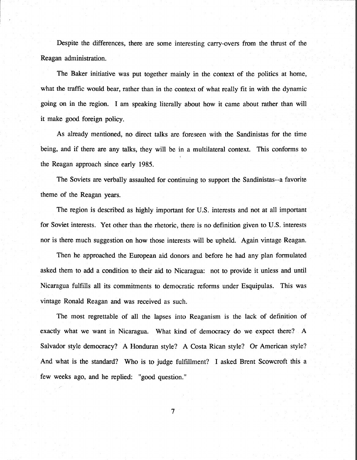Despite the differences, there are some interesting carry-overs from the thrust of the Reagan administration.

The Baker initiative was put together mainly in the context of the politics at home, what the traffic would bear, rather than in the context of what really fit in with the dynamic going on in the region. I am speaking literally about how it came about rather than will it make good foreign policy.

As already mentioned, no direct talks are foreseen with the Sandinistas for the time being, and if there are any talks, they will be in a multilateral context. This conforms to the Reagan approach since early 1985.

The Soviets are verbally assaulted for continuing to support the Sandinistas--a favorite theme of the Reagan years.

The region is described as highly important for U.S. interests and not at all important for Soviet interests. Yet other than the rhetoric, there is no definition given to U.S. interests nor is there much suggestion on how those interests will be upheld. Again vintage Reagan.

Then he approached the European aid donors and before he had any plan formulated asked them to add a condition to their aid to Nicaragua: not to provide it unless and until Nicaragua fulfills all its commitments to democratic reforms under Esquipulas. This was vintage Ronald Reagan and was received as such.

The most regrettable of all the lapses into Reaganism is the lack of definition of exactly what we want in Nicaragua. What kind of democracy do we expect there? A Salvador style democracy? A Honduran style? A Costa Rican style? Or American style? And what is the standard? Who is to judge fulfillment? I asked Brent Scowcroft this a few weeks ago, and he replied: "good question."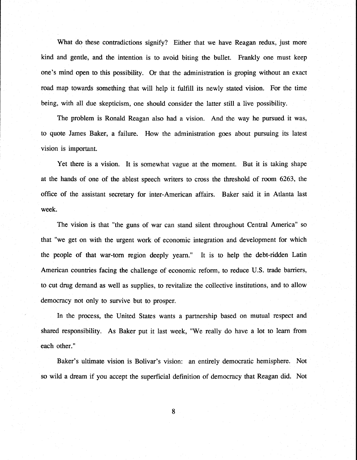What do these contradictions signify? Either that we have Reagan redux, just more kind and gentle, and the intention is to avoid biting the bullet. Frankly one must keep one's mind open to this possibility. Or that the administration is groping without an exact road map towards something that will help it fulfill its newly stated vision. For the time being, with all due skepticism, one should consider the latter still a live possibility.

The problem is Ronald Reagan also had a vision. And the way he pursued it was, to quote James Baker, a failure. How the administration goes about pursuing its latest vision is important.

Yet there is a vision, It is somewhat vague at the moment. But it is taking shape at the hands of one of the ablest speech writers to cross the threshold of room 6263, the office of the assistant secretary for inter-American affairs. Baker said it in Atlanta last week.

The vision is that "the guns of war can stand silent throughout Central America" so that "we get on with the urgent work of economic integration and development for which the people of that war-torn region deeply yearn." It is to help the debt-ridden Latin American countries facing the challenge of economic reform, to reduce U.S. trade barriers, to cut drug demand as well as supplies, to revitalize the collective institutions, and to allow democracy not only to survive but to prosper.

In the process, the United States wants a partnership based on mutual respect and shared responsibility. As Baker put it last week, "We really do have a lot to learn from each other."

Baker's ultimate vision is Bolivar's vision: an entirely democratic hemisphere. Not so wild a dream if you accept the superficial definition of democracy that Reagan did. Not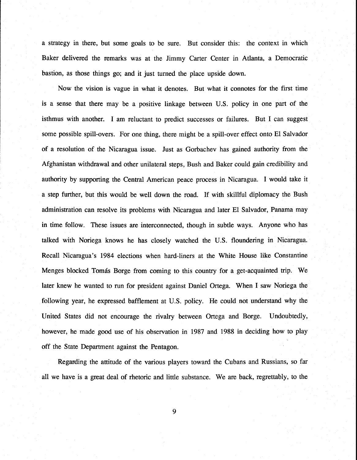a strategy in there, but some goals to be sure. But consider this: the context in which Baker delivered the remarks was at the Jimmy Carter Center in Atlanta, a Democratic bastion, as those things go; and it just turned the place upside down.

Now the vision is vague in what it denotes. But what it connotes for the first time is a sense that there may be a positive linkage between U.S. policy in one part of the isthmus with another. I am reluctant to predict successes or failures. But I can suggest some possible spill-overs. For one thing, there might be a spill-over effect onto El Salvador of a resolution of the Nicaragua issue. Just as Gorbachev has gained authority from the Afghanistan withdrawal and other unilateral steps, Bush and Baker could gain credibility and authority by supporting the Central American peace process in Nicaragua. I would take it a step further, but this would be well down the road. If with skillful diplomacy the Bush administration can resolve its problems with Nicaragua and later El Salvador, Panama may in time follow. These issues are interconnected, though in subtle ways. Anyone who has talked with Noriega knows he has closely watched the U.S. floundering in Nicaragua. Recall Nicaragua's **1984** elections when hard-liners at the White House like Constantine Menges blocked Tomás Borge from coming to this country for a get-acquainted trip. We later knew he wanted to run for president against Daniel Ortega. When I saw Noriega the following year, he expressed bafflement at U.S. policy. He could not understand why the United States did not encourage the rivalry between Ortega and Borge. Undoubtedly, however, he made good use of his observation in **1987** and **1988** in deciding how to play off the State Department against the Pentagon.

Regarding the attitude of the various players toward the Cubans and Russians, so far all we have is a great deal of rhetoric and little substance. We are back, regrettably, to the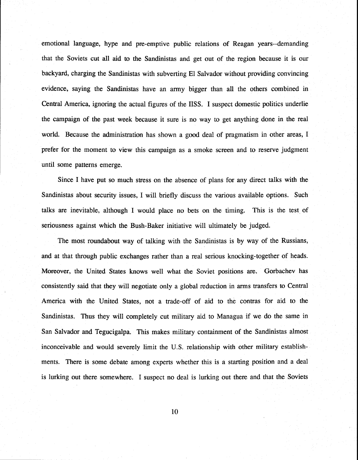emotional language, hype and pre-emptive public relations of Reagan years--demanding that the Soviets cut all aid to the Sandinistas and get out of the region because it is our 1 backyard, charging the Sandinistas with subverting El Salvador without providing convincing evidence, saying the Sandinistas have an army bigger than all the others combined in Central America, ignoring the actual figures of the IISS. I suspect domestic politics underlie the campaign of the past week because it sure is no way to get anything done in the real world. Because the administration has shown a good deal of pragmatism in other areas, I prefer for the moment to view this campaign as a smoke screen and to reserve judgment until some patterns emerge.

Since I have put so much stress on the absence of plans for any direct talks with the Sandinistas about security issues, I will briefly discuss the various available options. Such talks are inevitable, although I would place no bets on the timing. This is the test of seriousness against which the Bush-Baker initiative will ultimately be judged.

The most roundabout way of talking with the Sandinistas is by way of the Russians, and at that through public exchanges rather than a real serious knocking-together of heads. Moreover, the United States knows well what the Soviet positions are. Gorbachev has consistently said that they will negotiate only a global reduction in arms transfers to Central America with the United States, not a trade-off of aid to the contras for aid to the Sandinistas. Thus they will completely cut military aid to Managua if we do the same in San Salvador and Tegucigalpa. This makes military containment of the Sandinistas almost inconceivable and would severely limit the U.S. relationship with other military establishments. There is some debate among experts whether this is a starting position and a deal is lurking out there somewhere. I suspect no deal is lurking out there and that the Soviets